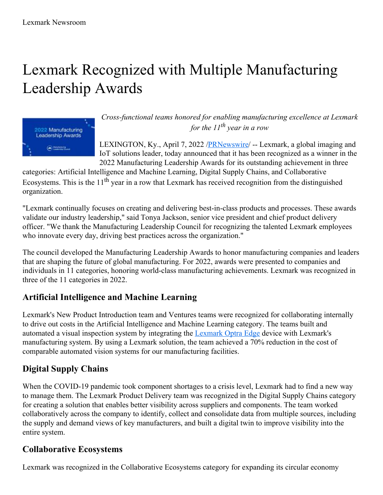# Lexmark Recognized with Multiple Manufacturing Leadership Awards



*Cross-functional teams honored for enabling manufacturing excellence at Lexmark for the 11 th year in a row*

LEXINGTON, Ky., April 7, 2022 /[PRNewswire](http://www.prnewswire.com/)/ -- Lexmark, a global imaging and IoT solutions leader, today announced that it has been recognized as a winner in the 2022 Manufacturing Leadership Awards for its outstanding achievement in three

categories: Artificial Intelligence and Machine Learning, Digital Supply Chains, and Collaborative Ecosystems. This is the  $11<sup>th</sup>$  year in a row that Lexmark has received recognition from the distinguished organization.

"Lexmark continually focuses on creating and delivering best-in-class products and processes. These awards validate our industry leadership," said Tonya Jackson, senior vice president and chief product delivery officer. "We thank the Manufacturing Leadership Council for recognizing the talented Lexmark employees who innovate every day, driving best practices across the organization."

The council developed the Manufacturing Leadership Awards to honor manufacturing companies and leaders that are shaping the future of global manufacturing. For 2022, awards were presented to companies and individuals in 11 categories, honoring world-class manufacturing achievements. Lexmark was recognized in three of the 11 categories in 2022.

## **Artificial Intelligence and Machine Learning**

Lexmark's New Product Introduction team and Ventures teams were recognized for collaborating internally to drive out costs in the Artificial Intelligence and Machine Learning category. The teams built and automated a visual inspection system by integrating the [Lexmark](https://c212.net/c/link/?t=0&l=en&o=3497257-1&h=3560764450&u=https%3A%2F%2Fwww.lexmark.com%2Fen_us%2Fsolutions%2Foptra-iot-solutions%2Foptra-edge.html&a=Lexmark+Optra+Edge) Optra Edge device with Lexmark's manufacturing system. By using a Lexmark solution, the team achieved a 70% reduction in the cost of comparable automated vision systems for our manufacturing facilities.

## **Digital Supply Chains**

When the COVID-19 pandemic took component shortages to a crisis level, Lexmark had to find a new way to manage them. The Lexmark Product Delivery team was recognized in the Digital Supply Chains category for creating a solution that enables better visibility across suppliers and components. The team worked collaboratively across the company to identify, collect and consolidate data from multiple sources, including the supply and demand views of key manufacturers, and built a digital twin to improve visibility into the entire system.

## **Collaborative Ecosystems**

Lexmark was recognized in the Collaborative Ecosystems category for expanding its circular economy